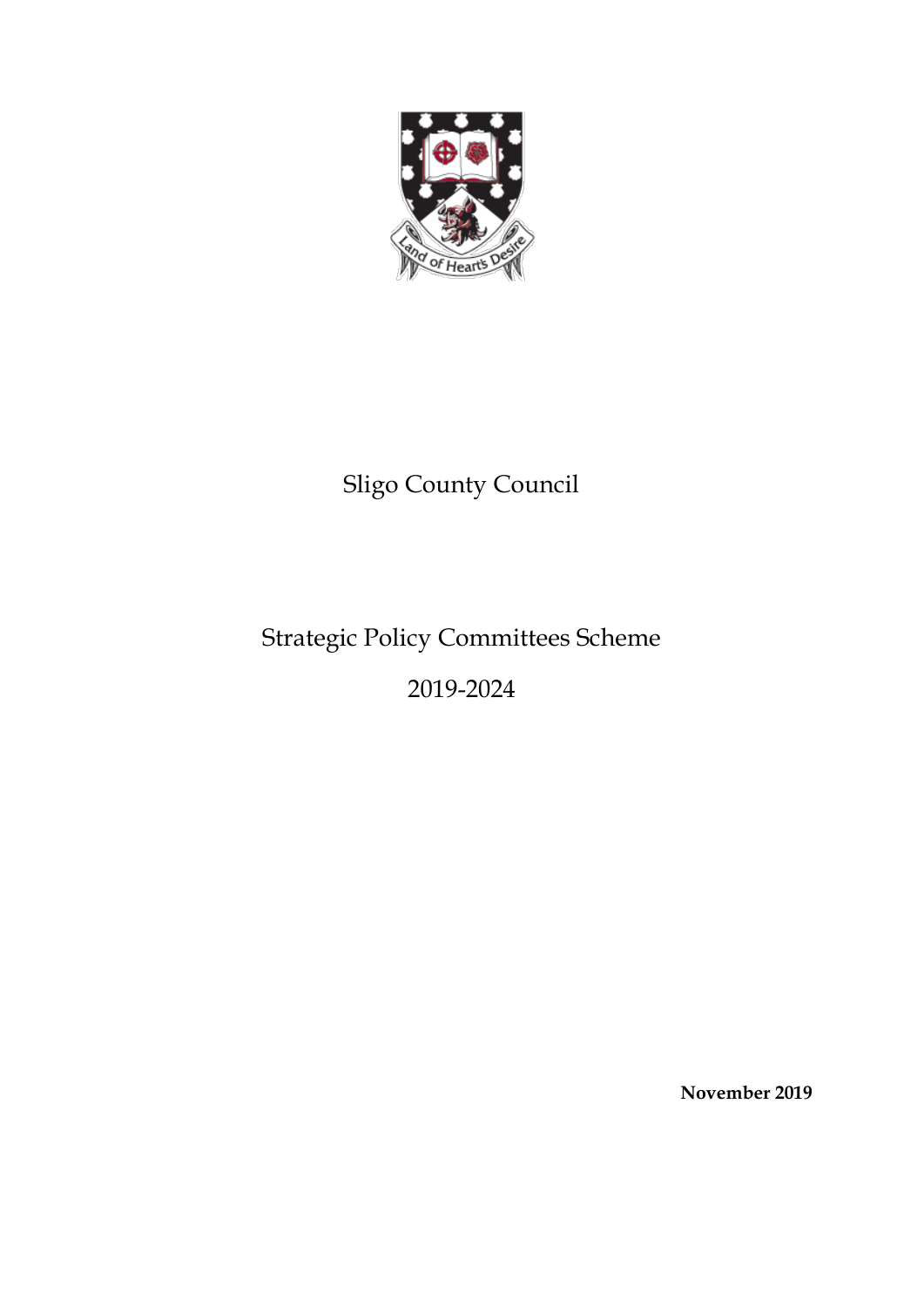

# Sligo County Council

# Strategic Policy Committees Scheme

2019-2024

**November 2019**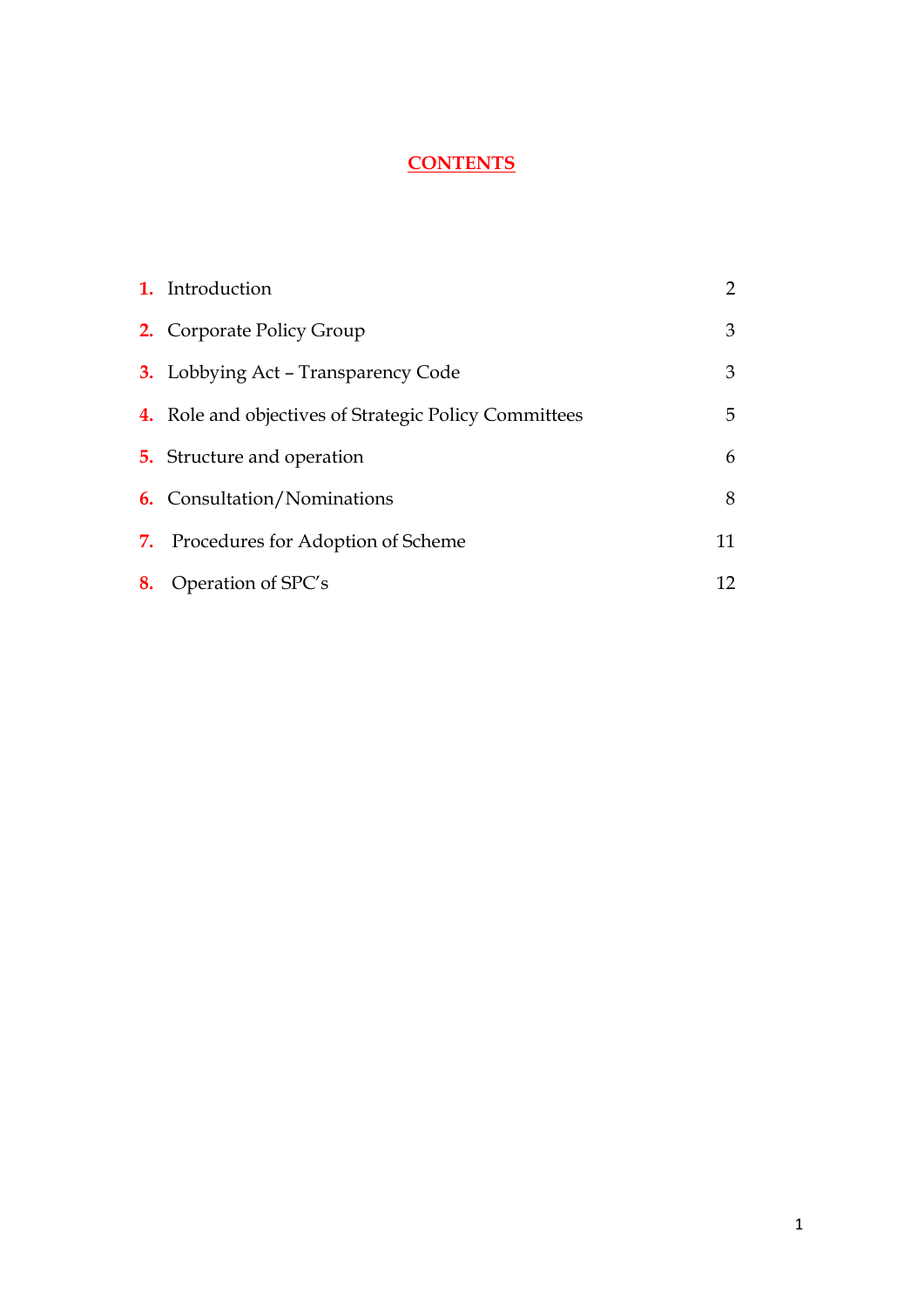## **CONTENTS**

|    | 1. Introduction                                              | $\mathbf{2}^{\prime}$ |
|----|--------------------------------------------------------------|-----------------------|
|    | <b>2.</b> Corporate Policy Group                             | 3                     |
|    | <b>3.</b> Lobbying Act - Transparency Code                   | 3                     |
|    | <b>4.</b> Role and objectives of Strategic Policy Committees | 5.                    |
|    | <b>5.</b> Structure and operation                            | 6                     |
|    | <b>6.</b> Consultation/Nominations                           | 8                     |
| 7. | Procedures for Adoption of Scheme                            | 11                    |
| 8. | Operation of SPC's                                           | 12                    |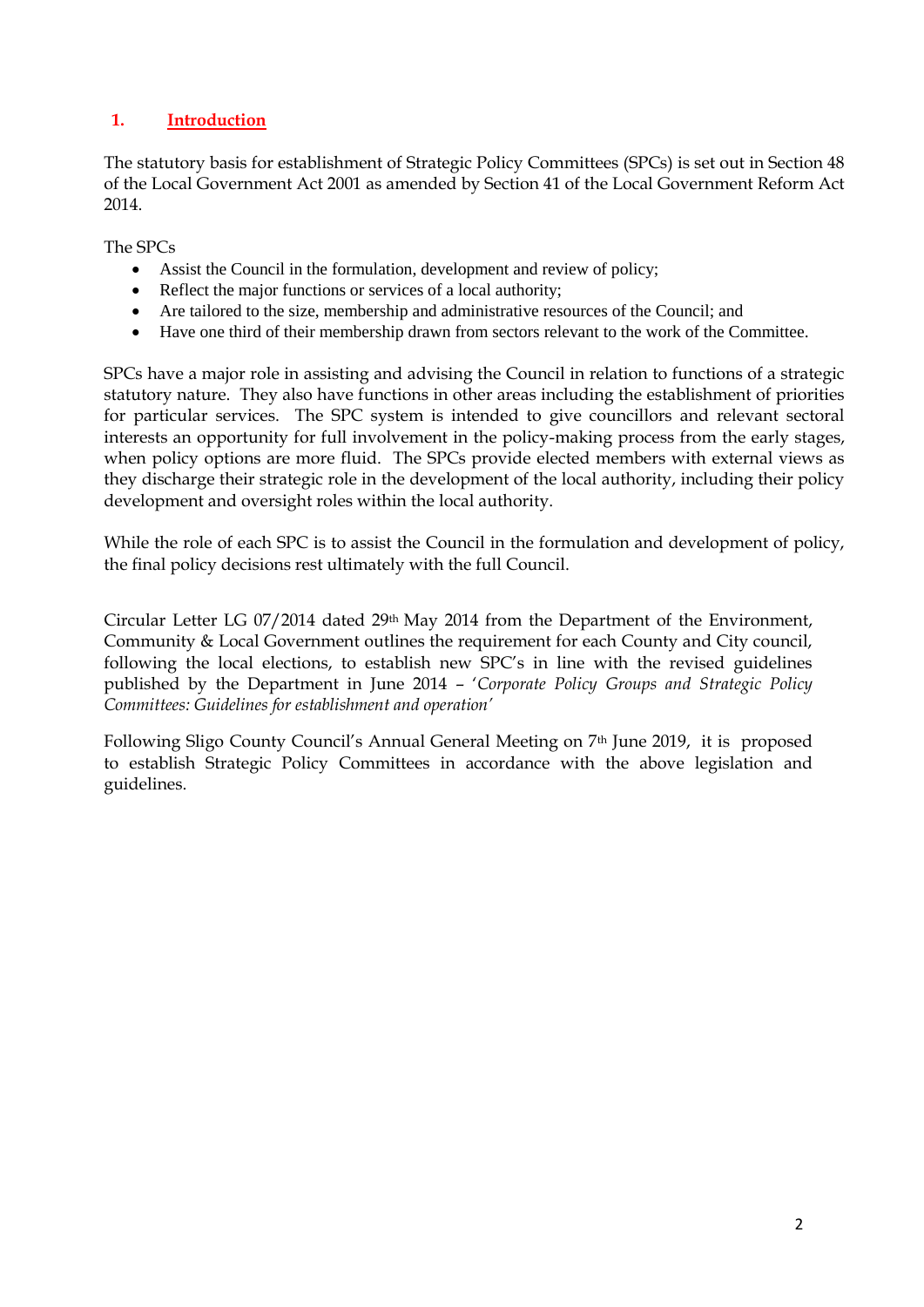### <span id="page-2-0"></span>**1. Introduction**

The statutory basis for establishment of Strategic Policy Committees (SPCs) is set out in Section 48 of the Local Government Act 2001 as amended by Section 41 of the Local Government Reform Act 2014.

The SPCs

- Assist the Council in the formulation, development and review of policy;
- Reflect the major functions or services of a local authority;
- Are tailored to the size, membership and administrative resources of the Council; and
- Have one third of their membership drawn from sectors relevant to the work of the Committee.

SPCs have a major role in assisting and advising the Council in relation to functions of a strategic statutory nature. They also have functions in other areas including the establishment of priorities for particular services. The SPC system is intended to give councillors and relevant sectoral interests an opportunity for full involvement in the policy-making process from the early stages, when policy options are more fluid. The SPCs provide elected members with external views as they discharge their strategic role in the development of the local authority, including their policy development and oversight roles within the local authority.

While the role of each SPC is to assist the Council in the formulation and development of policy, the final policy decisions rest ultimately with the full Council.

Circular Letter LG 07/2014 dated 29th May 2014 from the Department of the Environment, Community & Local Government outlines the requirement for each County and City council, following the local elections, to establish new SPC's in line with the revised guidelines published by the Department in June 2014 – '*Corporate Policy Groups and Strategic Policy Committees: Guidelines for establishment and operation'*

Following Sligo County Council's Annual General Meeting on 7th June 2019, it is proposed to establish Strategic Policy Committees in accordance with the above legislation and guidelines.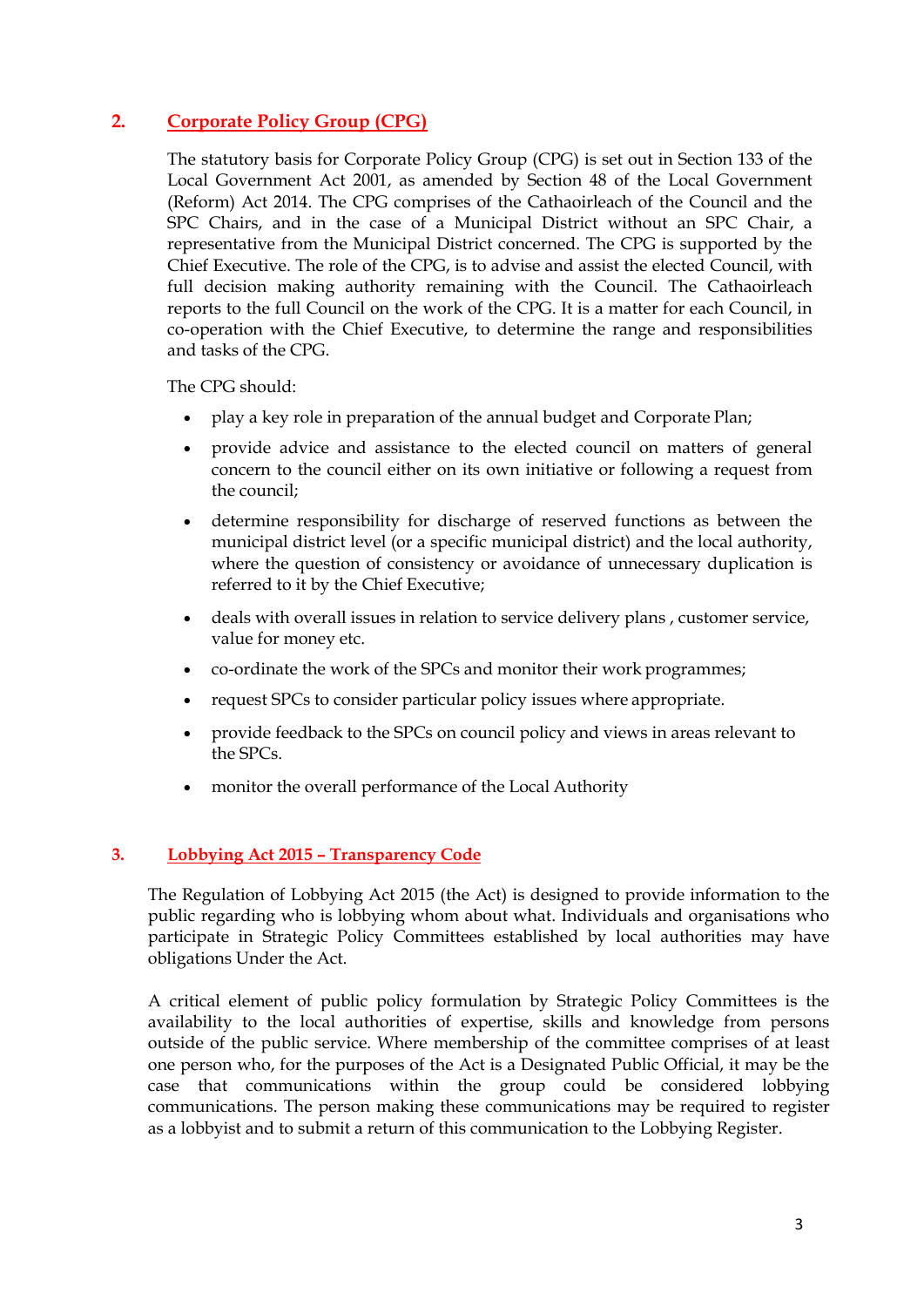## **2. Corporate Policy Group (CPG)**

The statutory basis for Corporate Policy Group (CPG) is set out in Section 133 of the Local Government Act 2001, as amended by Section 48 of the Local Government (Reform) Act 2014. The CPG comprises of the Cathaoirleach of the Council and the SPC Chairs, and in the case of a Municipal District without an SPC Chair, a representative from the Municipal District concerned. The CPG is supported by the Chief Executive. The role of the CPG, is to advise and assist the elected Council, with full decision making authority remaining with the Council. The Cathaoirleach reports to the full Council on the work of the CPG. It is a matter for each Council, in co-operation with the Chief Executive, to determine the range and responsibilities and tasks of the CPG.

The CPG should:

- play a key role in preparation of the annual budget and Corporate Plan;
- provide advice and assistance to the elected council on matters of general concern to the council either on its own initiative or following a request from the council;
- determine responsibility for discharge of reserved functions as between the municipal district level (or a specific municipal district) and the local authority, where the question of consistency or avoidance of unnecessary duplication is referred to it by the Chief Executive;
- deals with overall issues in relation to service delivery plans , customer service, value for money etc.
- co-ordinate the work of the SPCs and monitor their work programmes;
- request SPCs to consider particular policy issues where appropriate.
- provide feedback to the SPCs on council policy and views in areas relevant to the SPCs.
- monitor the overall performance of the Local Authority

#### **3. Lobbying Act 2015 – Transparency Code**

The Regulation of Lobbying Act 2015 (the Act) is designed to provide information to the public regarding who is lobbying whom about what. Individuals and organisations who participate in Strategic Policy Committees established by local authorities may have obligations Under the Act.

A critical element of public policy formulation by Strategic Policy Committees is the availability to the local authorities of expertise, skills and knowledge from persons outside of the public service. Where membership of the committee comprises of at least one person who, for the purposes of the Act is a Designated Public Official, it may be the case that communications within the group could be considered lobbying communications. The person making these communications may be required to register as a lobbyist and to submit a return of this communication to the Lobbying Register.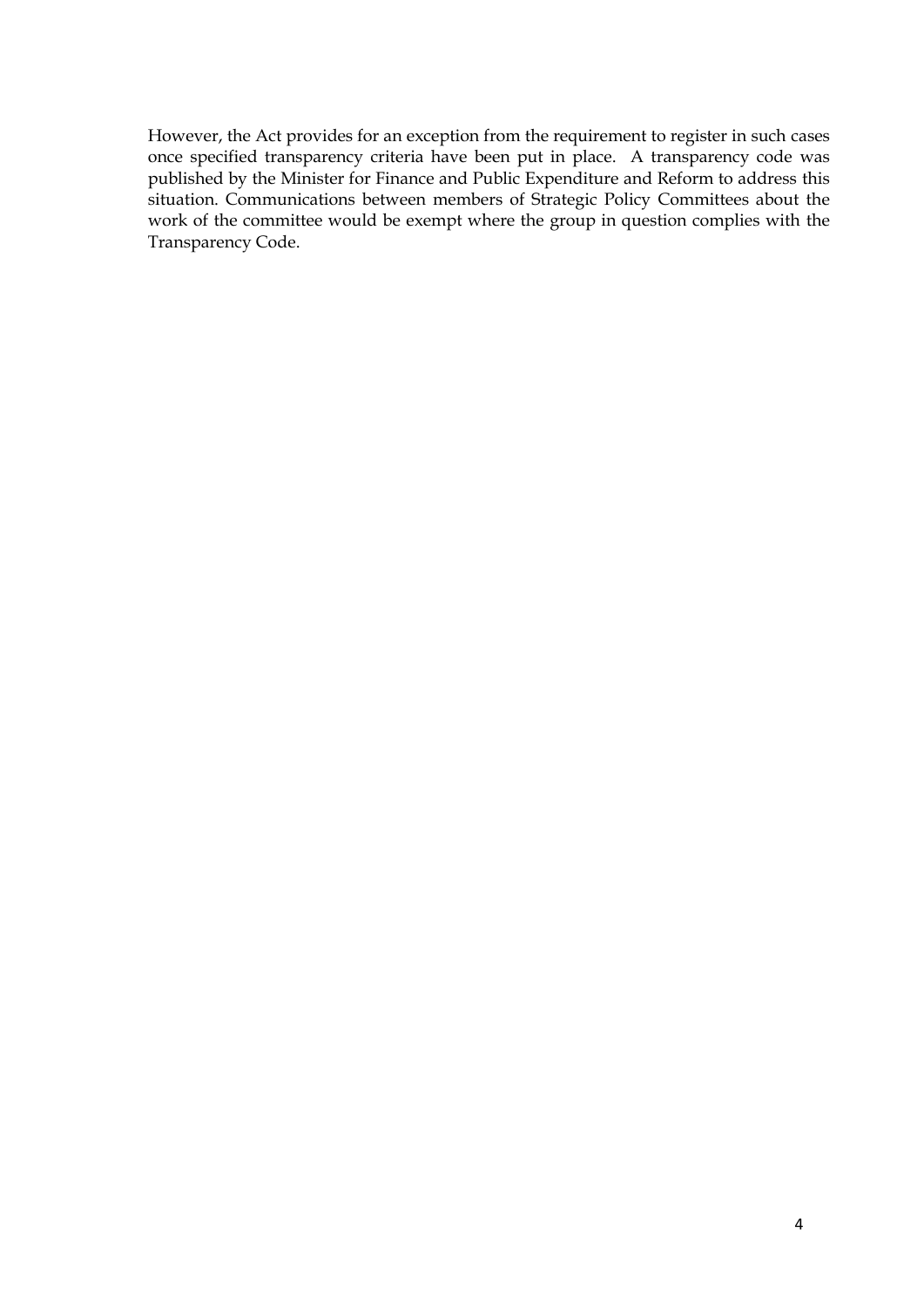However, the Act provides for an exception from the requirement to register in such cases once specified transparency criteria have been put in place. A transparency code was published by the Minister for Finance and Public Expenditure and Reform to address this situation. Communications between members of Strategic Policy Committees about the work of the committee would be exempt where the group in question complies with the Transparency Code.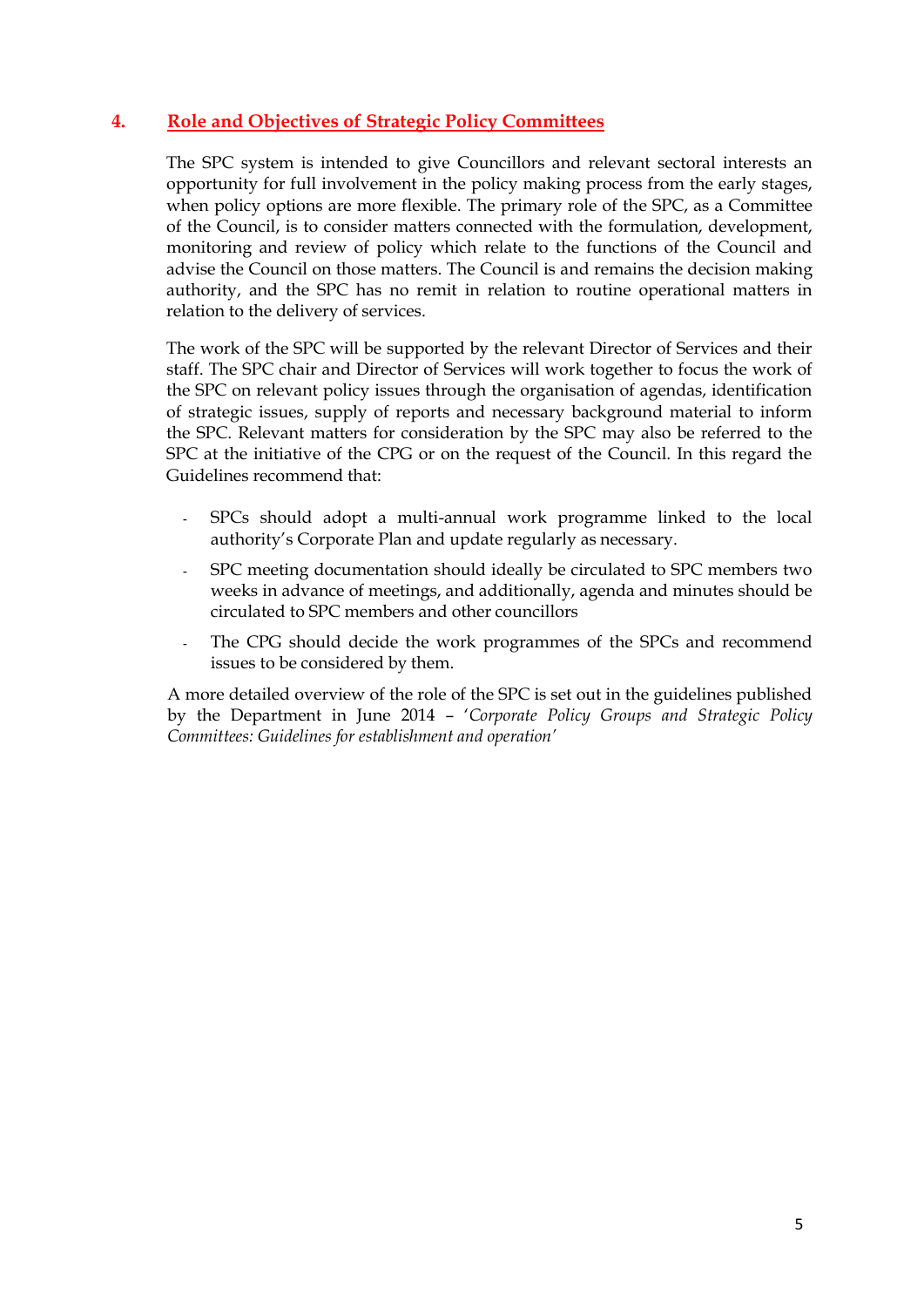### **4. Role and Objectives of Strategic Policy Committees**

The SPC system is intended to give Councillors and relevant sectoral interests an opportunity for full involvement in the policy making process from the early stages, when policy options are more flexible. The primary role of the SPC, as a Committee of the Council, is to consider matters connected with the formulation, development, monitoring and review of policy which relate to the functions of the Council and advise the Council on those matters. The Council is and remains the decision making authority, and the SPC has no remit in relation to routine operational matters in relation to the delivery of services.

The work of the SPC will be supported by the relevant Director of Services and their staff. The SPC chair and Director of Services will work together to focus the work of the SPC on relevant policy issues through the organisation of agendas, identification of strategic issues, supply of reports and necessary background material to inform the SPC. Relevant matters for consideration by the SPC may also be referred to the SPC at the initiative of the CPG or on the request of the Council. In this regard the Guidelines recommend that:

- **-** SPCs should adopt a multi-annual work programme linked to the local authority's Corporate Plan and update regularly as necessary.
- **-** SPC meeting documentation should ideally be circulated to SPC members two weeks in advance of meetings, and additionally, agenda and minutes should be circulated to SPC members and other councillors
- The CPG should decide the work programmes of the SPCs and recommend issues to be considered by them.

A more detailed overview of the role of the SPC is set out in the guidelines published by the Department in June 2014 – '*Corporate Policy Groups and Strategic Policy Committees: Guidelines for establishment and operation'*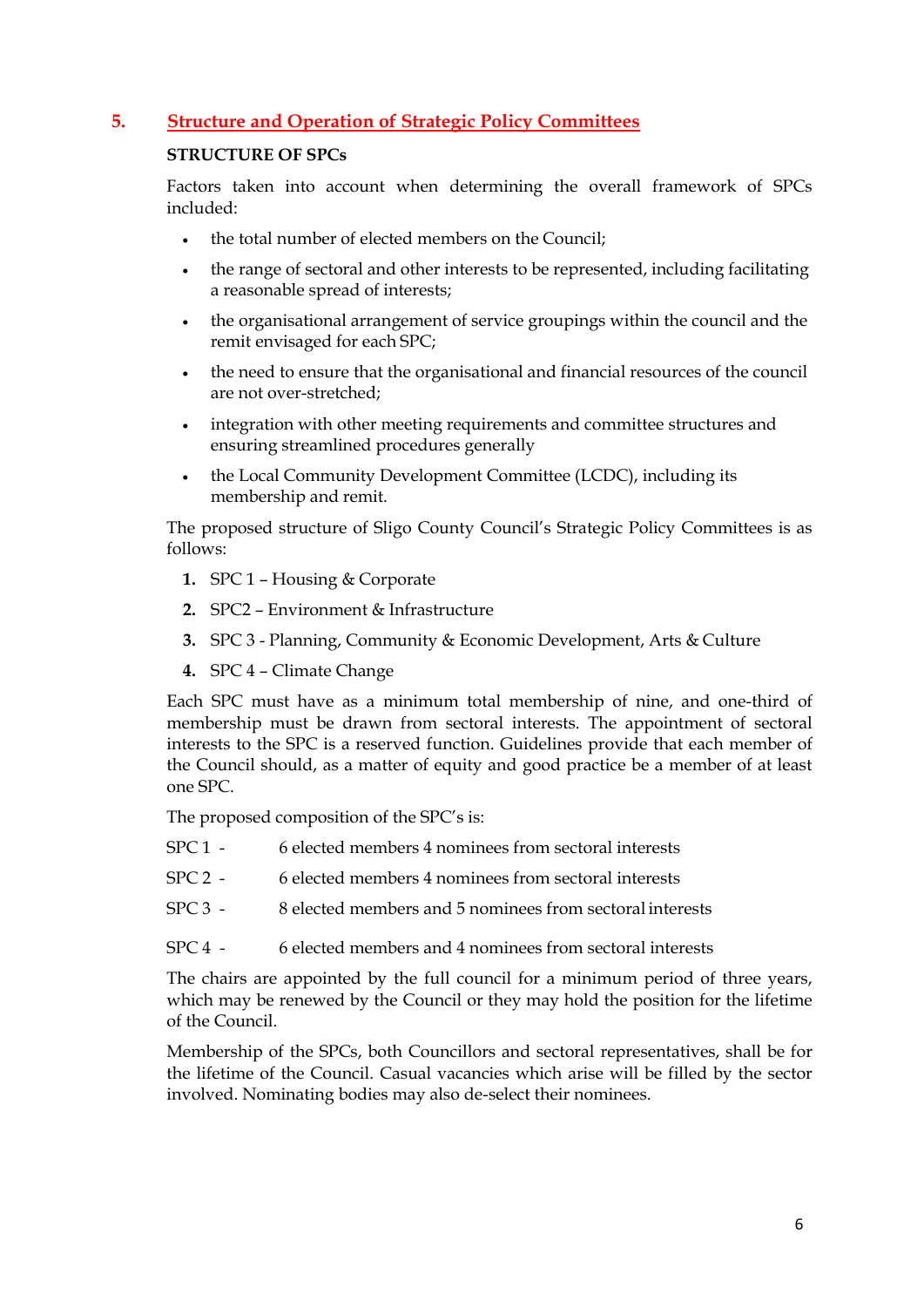## <span id="page-6-0"></span>**5. Structure and Operation of Strategic Policy Committees**

#### **STRUCTURE OF SPCs**

Factors taken into account when determining the overall framework of SPCs included:

- the total number of elected members on the Council;
- the range of sectoral and other interests to be represented, including facilitating a reasonable spread of interests;
- the organisational arrangement of service groupings within the council and the remit envisaged for each SPC;
- the need to ensure that the organisational and financial resources of the council are not over-stretched;
- integration with other meeting requirements and committee structures and ensuring streamlined procedures generally
- the Local Community Development Committee (LCDC), including its membership and remit.

The proposed structure of Sligo County Council's Strategic Policy Committees is as follows:

- **1.** SPC 1 Housing & Corporate
- **2.** SPC2 Environment & Infrastructure
- **3.** SPC 3 Planning, Community & Economic Development, Arts & Culture
- **4.** SPC 4 Climate Change

Each SPC must have as a minimum total membership of nine, and one-third of membership must be drawn from sectoral interests. The appointment of sectoral interests to the SPC is a reserved function. Guidelines provide that each member of the Council should, as a matter of equity and good practice be a member of at least one SPC.

The proposed composition of the SPC's is:

- SPC 1 6 elected members 4 nominees from sectoral interests
- SPC 2 6 elected members 4 nominees from sectoral interests
- SPC 3 8 elected members and 5 nominees from sectoral interests
- SPC 4 6 elected members and 4 nominees from sectoral interests

The chairs are appointed by the full council for a minimum period of three years, which may be renewed by the Council or they may hold the position for the lifetime of the Council.

Membership of the SPCs, both Councillors and sectoral representatives, shall be for the lifetime of the Council. Casual vacancies which arise will be filled by the sector involved. Nominating bodies may also de-select their nominees.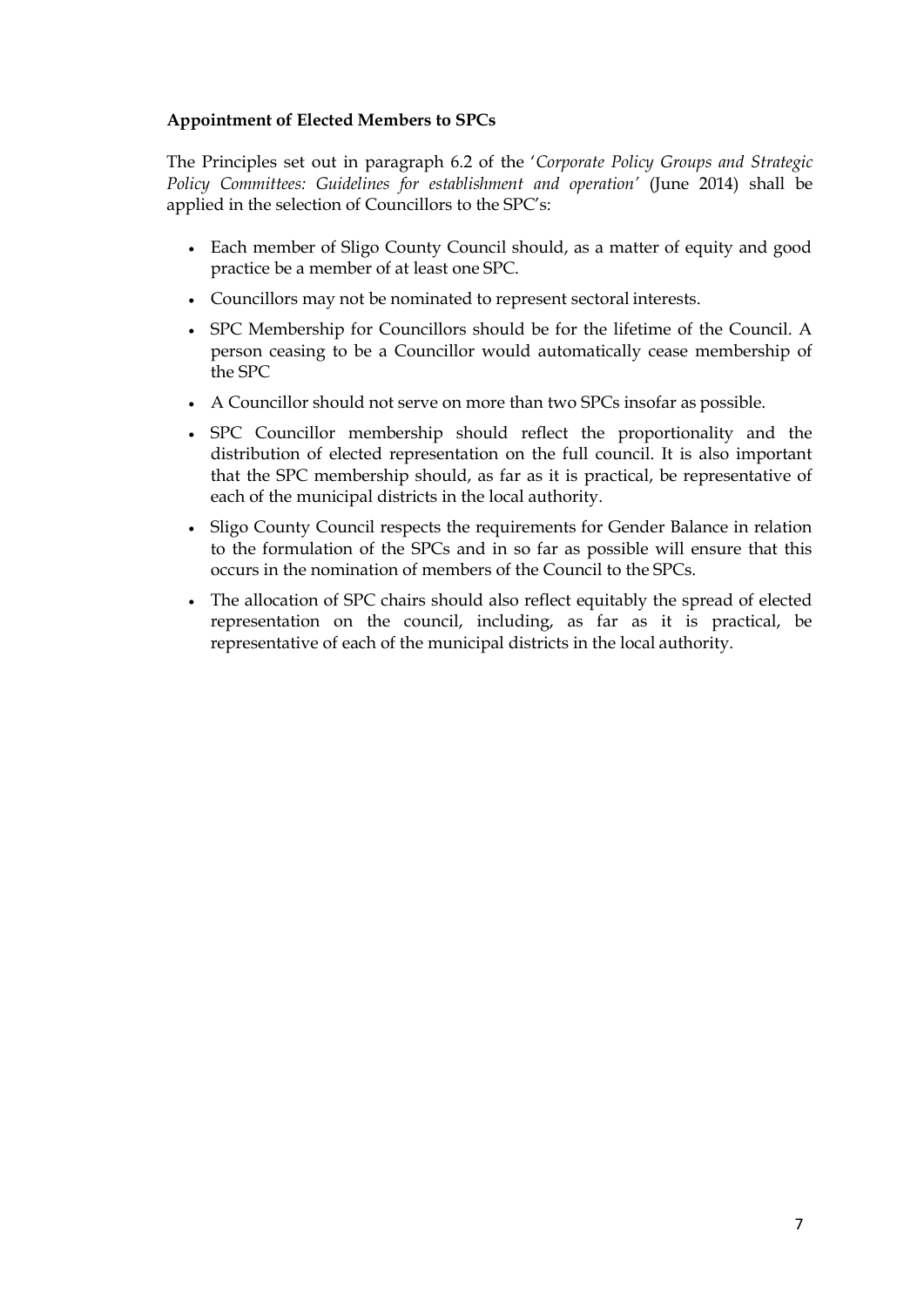#### **Appointment of Elected Members to SPCs**

The Principles set out in paragraph 6.2 of the '*Corporate Policy Groups and Strategic Policy Committees: Guidelines for establishment and operation'* (June 2014) shall be applied in the selection of Councillors to the SPC's:

- Each member of Sligo County Council should, as a matter of equity and good practice be a member of at least one SPC.
- Councillors may not be nominated to represent sectoral interests.
- SPC Membership for Councillors should be for the lifetime of the Council. A person ceasing to be a Councillor would automatically cease membership of the SPC
- A Councillor should not serve on more than two SPCs insofar as possible.
- SPC Councillor membership should reflect the proportionality and the distribution of elected representation on the full council. It is also important that the SPC membership should, as far as it is practical, be representative of each of the municipal districts in the local authority.
- Sligo County Council respects the requirements for Gender Balance in relation to the formulation of the SPCs and in so far as possible will ensure that this occurs in the nomination of members of the Council to the SPCs.
- The allocation of SPC chairs should also reflect equitably the spread of elected representation on the council, including, as far as it is practical, be representative of each of the municipal districts in the local authority.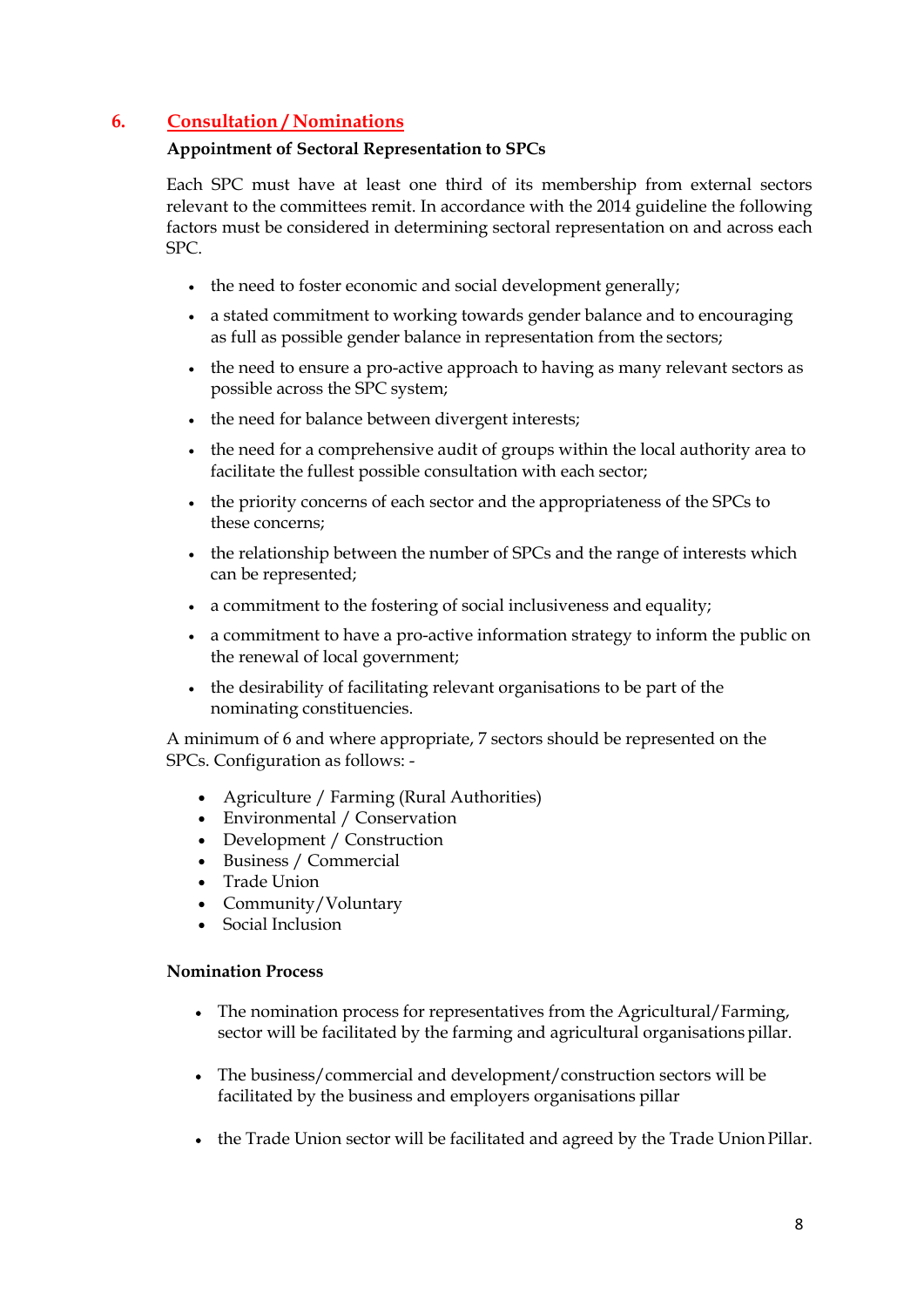## <span id="page-8-0"></span>**6. Consultation / Nominations**

#### **Appointment of Sectoral Representation to SPCs**

Each SPC must have at least one third of its membership from external sectors relevant to the committees remit. In accordance with the 2014 guideline the following factors must be considered in determining sectoral representation on and across each SPC.

- the need to foster economic and social development generally;
- a stated commitment to working towards gender balance and to encouraging as full as possible gender balance in representation from the sectors;
- the need to ensure a pro-active approach to having as many relevant sectors as possible across the SPC system;
- the need for balance between divergent interests;
- the need for a comprehensive audit of groups within the local authority area to facilitate the fullest possible consultation with each sector;
- the priority concerns of each sector and the appropriateness of the SPCs to these concerns;
- the relationship between the number of SPCs and the range of interests which can be represented;
- a commitment to the fostering of social inclusiveness and equality;
- a commitment to have a pro-active information strategy to inform the public on the renewal of local government;
- the desirability of facilitating relevant organisations to be part of the nominating constituencies.

A minimum of 6 and where appropriate, 7 sectors should be represented on the SPCs. Configuration as follows: -

- Agriculture / Farming (Rural Authorities)
- Environmental / Conservation
- Development / Construction
- Business / Commercial
- Trade Union
- Community/Voluntary
- Social Inclusion

#### **Nomination Process**

- The nomination process for representatives from the Agricultural/Farming, sector will be facilitated by the farming and agricultural organisations pillar.
- The business/commercial and development/construction sectors will be facilitated by the business and employers organisations pillar
- the Trade Union sector will be facilitated and agreed by the Trade UnionPillar.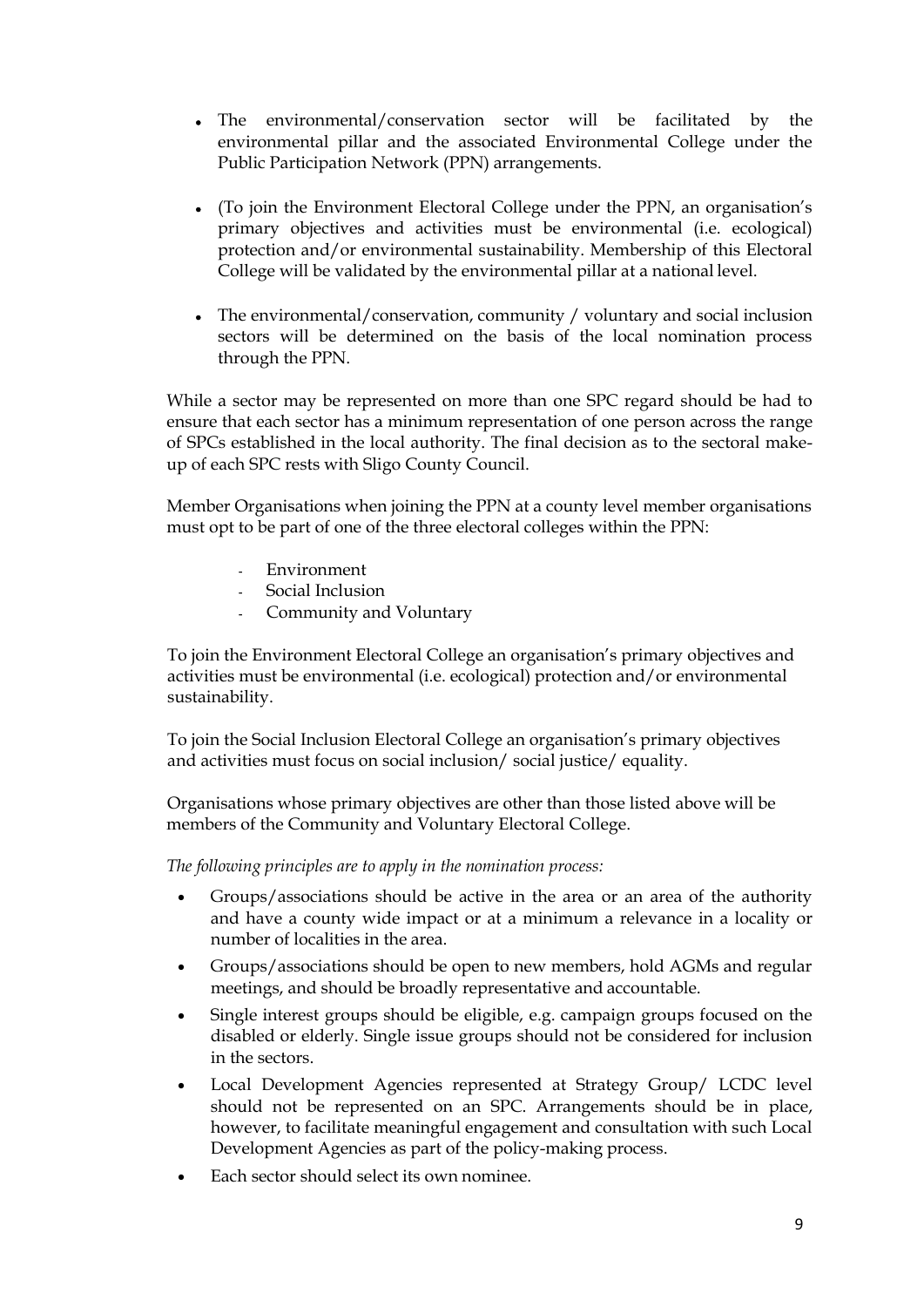- The environmental/conservation sector will be facilitated by the environmental pillar and the associated Environmental College under the Public Participation Network (PPN) arrangements.
- (To join the Environment Electoral College under the PPN, an organisation's primary objectives and activities must be environmental (i.e. ecological) protection and/or environmental sustainability. Membership of this Electoral College will be validated by the environmental pillar at a national level.
- The environmental/conservation, community / voluntary and social inclusion sectors will be determined on the basis of the local nomination process through the PPN.

While a sector may be represented on more than one SPC regard should be had to ensure that each sector has a minimum representation of one person across the range of SPCs established in the local authority. The final decision as to the sectoral makeup of each SPC rests with Sligo County Council.

Member Organisations when joining the PPN at a county level member organisations must opt to be part of one of the three electoral colleges within the PPN:

- **-** Environment
- **-** Social Inclusion
- **-** Community and Voluntary

To join the Environment Electoral College an organisation's primary objectives and activities must be environmental (i.e. ecological) protection and/or environmental sustainability.

To join the Social Inclusion Electoral College an organisation's primary objectives and activities must focus on social inclusion/ social justice/ equality.

Organisations whose primary objectives are other than those listed above will be members of the Community and Voluntary Electoral College.

*The following principles are to apply in the nomination process:*

- Groups/associations should be active in the area or an area of the authority and have a county wide impact or at a minimum a relevance in a locality or number of localities in the area.
- Groups/associations should be open to new members, hold AGMs and regular meetings, and should be broadly representative and accountable.
- Single interest groups should be eligible, e.g. campaign groups focused on the disabled or elderly. Single issue groups should not be considered for inclusion in the sectors.
- Local Development Agencies represented at Strategy Group/ LCDC level should not be represented on an SPC. Arrangements should be in place, however, to facilitate meaningful engagement and consultation with such Local Development Agencies as part of the policy-making process.
- Each sector should select its own nominee.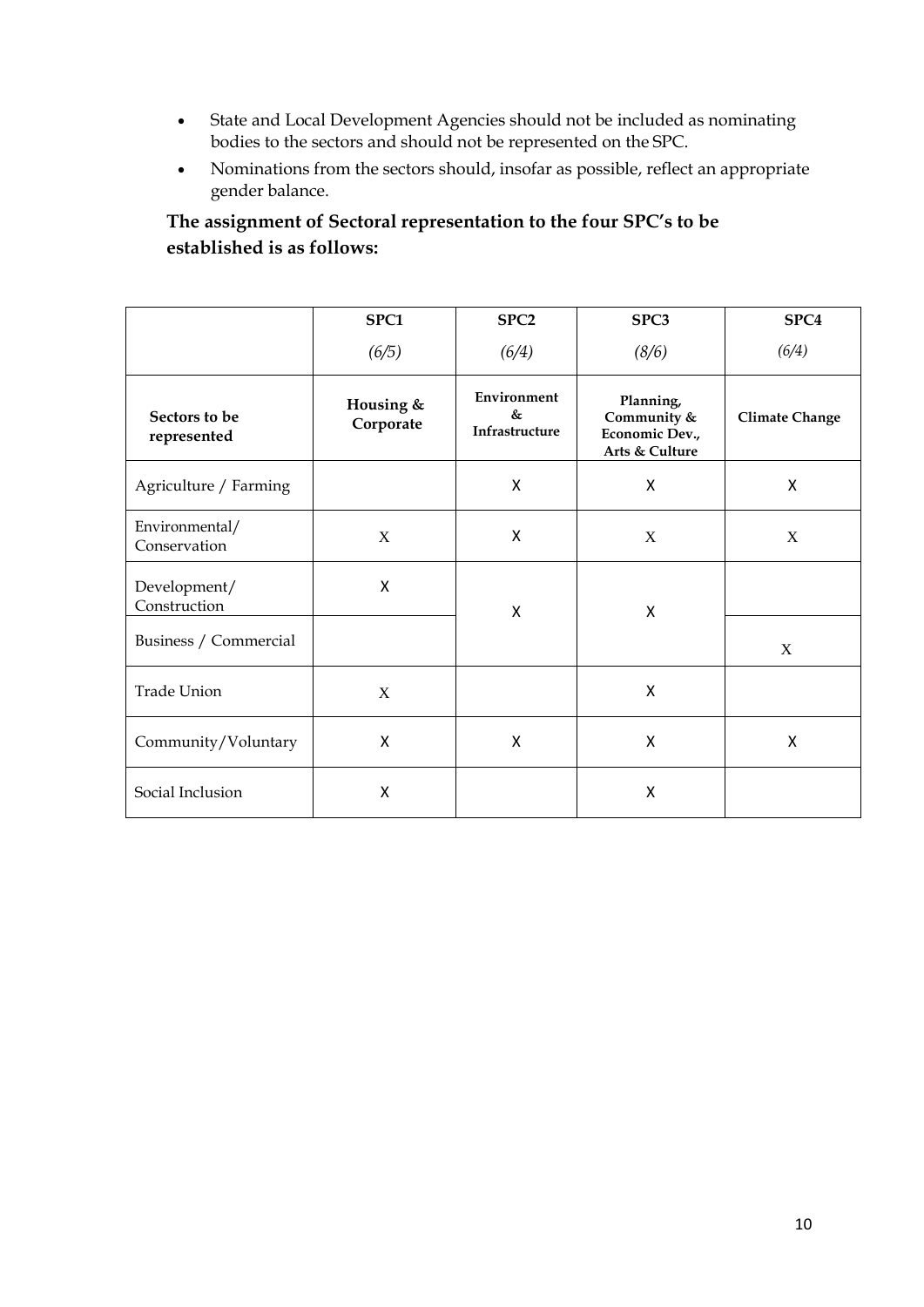- State and Local Development Agencies should not be included as nominating bodies to the sectors and should not be represented on the SPC.
- Nominations from the sectors should, insofar as possible, reflect an appropriate gender balance.

## **The assignment of Sectoral representation to the four SPC's to be established is as follows:**

|                                | SPC1                   | SPC <sub>2</sub>                             | SPC3                                                         | SPC <sub>4</sub>      |
|--------------------------------|------------------------|----------------------------------------------|--------------------------------------------------------------|-----------------------|
|                                | (6/5)                  | (6/4)                                        | (8/6)                                                        | (6/4)                 |
| Sectors to be<br>represented   | Housing &<br>Corporate | Environment<br>$\&$<br><b>Infrastructure</b> | Planning,<br>Community &<br>Economic Dev.,<br>Arts & Culture | <b>Climate Change</b> |
| Agriculture / Farming          |                        | X                                            | X                                                            | X                     |
| Environmental/<br>Conservation | X                      | X                                            | X                                                            | $\mathbf X$           |
| Development/<br>Construction   | X                      | X                                            | $\mathsf{X}$                                                 |                       |
| Business / Commercial          |                        |                                              |                                                              | X                     |
| <b>Trade Union</b>             | X                      |                                              | X                                                            |                       |
| Community/Voluntary            | X                      | X                                            | $\boldsymbol{\mathsf{X}}$                                    | X                     |
| Social Inclusion               | X                      |                                              | Χ                                                            |                       |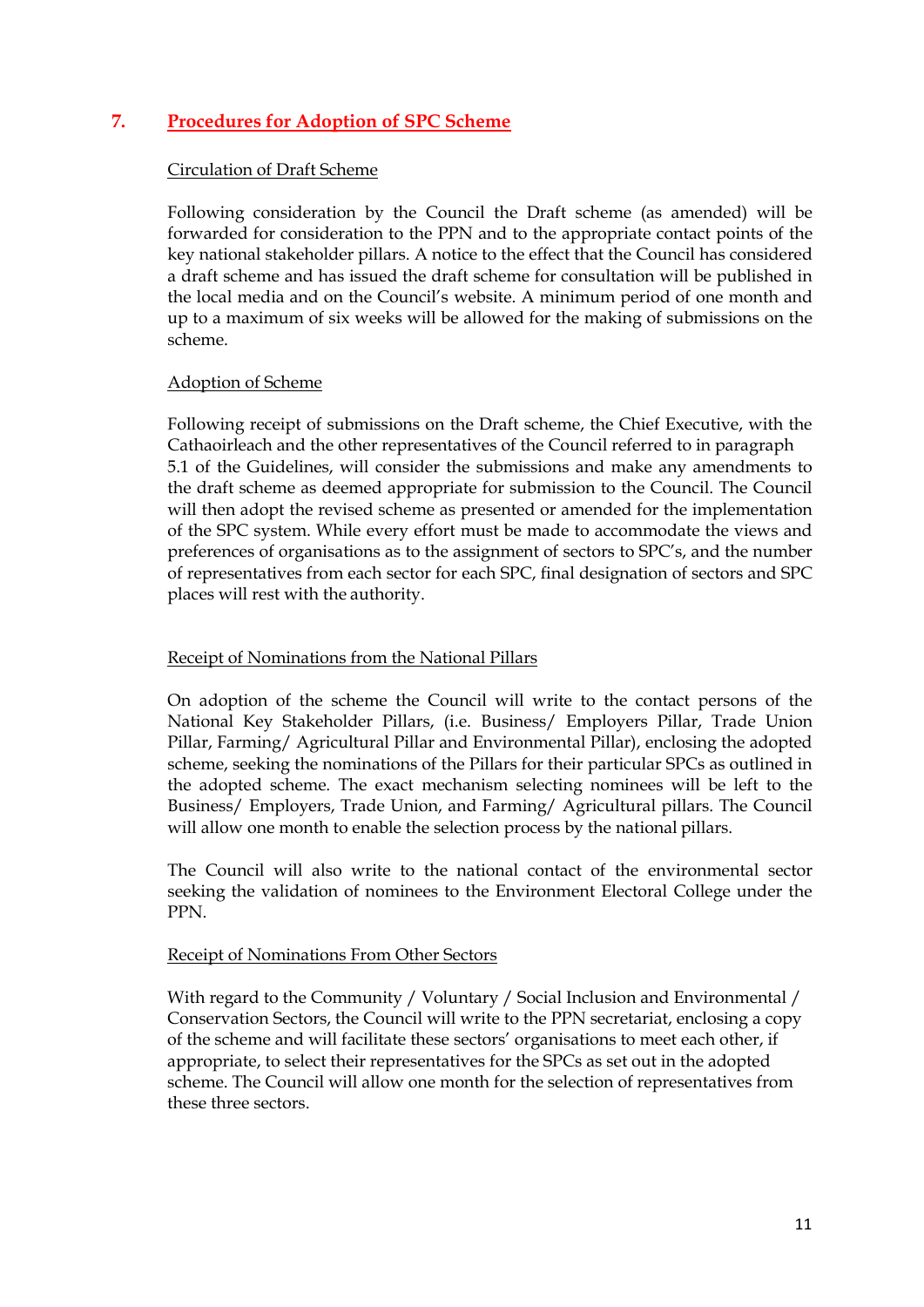## **7. Procedures for Adoption of SPC Scheme**

#### Circulation of Draft Scheme

Following consideration by the Council the Draft scheme (as amended) will be forwarded for consideration to the PPN and to the appropriate contact points of the key national stakeholder pillars. A notice to the effect that the Council has considered a draft scheme and has issued the draft scheme for consultation will be published in the local media and on the Council's website. A minimum period of one month and up to a maximum of six weeks will be allowed for the making of submissions on the scheme.

#### Adoption of Scheme

Following receipt of submissions on the Draft scheme, the Chief Executive, with the Cathaoirleach and the other representatives of the Council referred to in paragraph 5.1 of the Guidelines, will consider the submissions and make any amendments to the draft scheme as deemed appropriate for submission to the Council. The Council will then adopt the revised scheme as presented or amended for the implementation of the SPC system. While every effort must be made to accommodate the views and preferences of organisations as to the assignment of sectors to SPC's, and the number of representatives from each sector for each SPC, final designation of sectors and SPC places will rest with the authority.

#### Receipt of Nominations from the National Pillars

On adoption of the scheme the Council will write to the contact persons of the National Key Stakeholder Pillars, (i.e. Business/ Employers Pillar, Trade Union Pillar, Farming/ Agricultural Pillar and Environmental Pillar), enclosing the adopted scheme, seeking the nominations of the Pillars for their particular SPCs as outlined in the adopted scheme. The exact mechanism selecting nominees will be left to the Business/ Employers, Trade Union, and Farming/ Agricultural pillars. The Council will allow one month to enable the selection process by the national pillars.

The Council will also write to the national contact of the environmental sector seeking the validation of nominees to the Environment Electoral College under the PPN.

#### Receipt of Nominations From Other Sectors

With regard to the Community / Voluntary / Social Inclusion and Environmental / Conservation Sectors, the Council will write to the PPN secretariat, enclosing a copy of the scheme and will facilitate these sectors' organisations to meet each other, if appropriate, to select their representatives for the SPCs as set out in the adopted scheme. The Council will allow one month for the selection of representatives from these three sectors.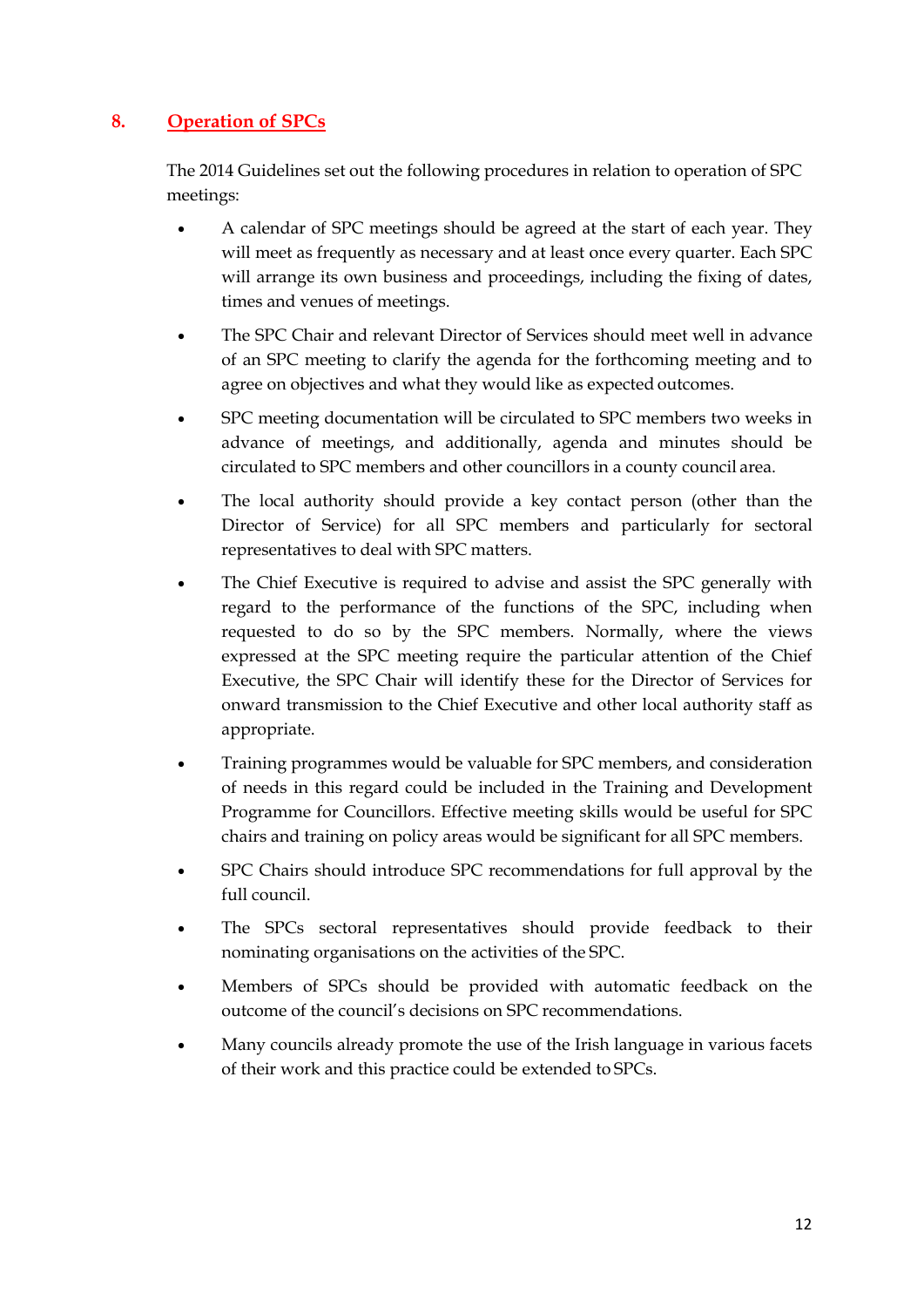## **8. Operation of SPCs**

The 2014 Guidelines set out the following procedures in relation to operation of SPC meetings:

- A calendar of SPC meetings should be agreed at the start of each year. They will meet as frequently as necessary and at least once every quarter. Each SPC will arrange its own business and proceedings, including the fixing of dates, times and venues of meetings.
- The SPC Chair and relevant Director of Services should meet well in advance of an SPC meeting to clarify the agenda for the forthcoming meeting and to agree on objectives and what they would like as expected outcomes.
- SPC meeting documentation will be circulated to SPC members two weeks in advance of meetings, and additionally, agenda and minutes should be circulated to SPC members and other councillors in a county council area.
- The local authority should provide a key contact person (other than the Director of Service) for all SPC members and particularly for sectoral representatives to deal with SPC matters.
- The Chief Executive is required to advise and assist the SPC generally with regard to the performance of the functions of the SPC, including when requested to do so by the SPC members. Normally, where the views expressed at the SPC meeting require the particular attention of the Chief Executive, the SPC Chair will identify these for the Director of Services for onward transmission to the Chief Executive and other local authority staff as appropriate.
- Training programmes would be valuable for SPC members, and consideration of needs in this regard could be included in the Training and Development Programme for Councillors. Effective meeting skills would be useful for SPC chairs and training on policy areas would be significant for all SPC members.
- SPC Chairs should introduce SPC recommendations for full approval by the full council.
- The SPCs sectoral representatives should provide feedback to their nominating organisations on the activities of the SPC.
- Members of SPCs should be provided with automatic feedback on the outcome of the council's decisions on SPC recommendations.
- Many councils already promote the use of the Irish language in various facets of their work and this practice could be extended to SPCs.